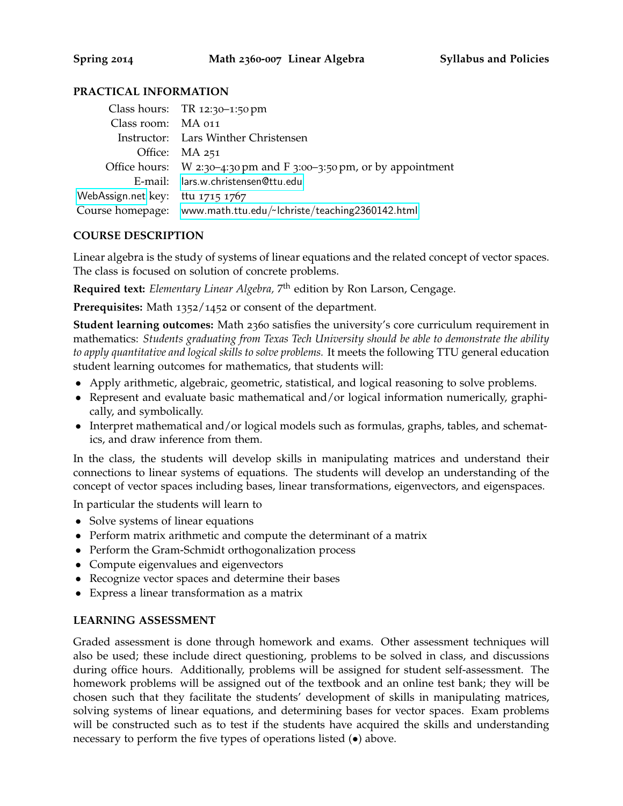# **PRACTICAL INFORMATION**

|                                  | Class hours: $TR 12:30-1:50 \text{ pm}$                              |
|----------------------------------|----------------------------------------------------------------------|
| Class room: MA 011               |                                                                      |
|                                  | Instructor: Lars Winther Christensen                                 |
|                                  | Office: MA 251                                                       |
|                                  | Office hours: $W$ 2:30-4:30 pm and F 3:00-3:50 pm, or by appointment |
|                                  | E-mail: lars.w.christensen@ttu.edu                                   |
| WebAssign.net key: ttu 1715 1767 |                                                                      |
|                                  | Course homepage: www.math.ttu.edu/~lchriste/teaching2360142.html     |
|                                  |                                                                      |

## **COURSE DESCRIPTION**

Linear algebra is the study of systems of linear equations and the related concept of vector spaces. The class is focused on solution of concrete problems.

**Required text:** *Elementary Linear Algebra,* 7 th edition by Ron Larson, Cengage.

**Prerequisites:** Math 1352/1452 or consent of the department.

**Student learning outcomes:** Math 2360 satisfies the university's core curriculum requirement in mathematics: *Students graduating from Texas Tech University should be able to demonstrate the ability to apply quantitative and logical skills to solve problems.* It meets the following TTU general education student learning outcomes for mathematics, that students will:

- Apply arithmetic, algebraic, geometric, statistical, and logical reasoning to solve problems.
- Represent and evaluate basic mathematical and/or logical information numerically, graphically, and symbolically.
- Interpret mathematical and/or logical models such as formulas, graphs, tables, and schematics, and draw inference from them.

In the class, the students will develop skills in manipulating matrices and understand their connections to linear systems of equations. The students will develop an understanding of the concept of vector spaces including bases, linear transformations, eigenvectors, and eigenspaces.

In particular the students will learn to

- Solve systems of linear equations
- Perform matrix arithmetic and compute the determinant of a matrix
- Perform the Gram-Schmidt orthogonalization process
- Compute eigenvalues and eigenvectors
- Recognize vector spaces and determine their bases
- Express a linear transformation as a matrix

### **LEARNING ASSESSMENT**

Graded assessment is done through homework and exams. Other assessment techniques will also be used; these include direct questioning, problems to be solved in class, and discussions during office hours. Additionally, problems will be assigned for student self-assessment. The homework problems will be assigned out of the textbook and an online test bank; they will be chosen such that they facilitate the students' development of skills in manipulating matrices, solving systems of linear equations, and determining bases for vector spaces. Exam problems will be constructed such as to test if the students have acquired the skills and understanding necessary to perform the five types of operations listed (•) above.